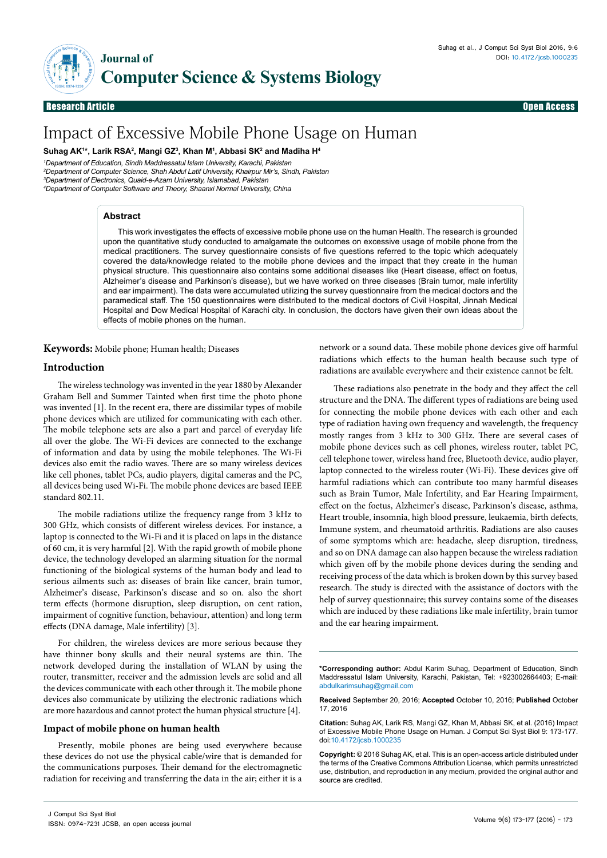

**Research Article** 

Open Access

# Impact of Excessive Mobile Phone Usage on Human

**Suhag AK1 \*, Larik RSA2 , Mangi GZ3 , Khan M1 , Abbasi SK2 and Madiha H4**

 *Department of Education, Sindh Maddressatul Islam University, Karachi, Pakistan Department of Computer Science, Shah Abdul Latif University, Khairpur Mir's, Sindh, Pakistan Department of Electronics, Quaid-e-Azam University, Islamabad, Pakistan Department of Computer Software and Theory, Shaanxi Normal University, China*

### **Abstract**

This work investigates the effects of excessive mobile phone use on the human Health. The research is grounded upon the quantitative study conducted to amalgamate the outcomes on excessive usage of mobile phone from the medical practitioners. The survey questionnaire consists of five questions referred to the topic which adequately covered the data/knowledge related to the mobile phone devices and the impact that they create in the human physical structure. This questionnaire also contains some additional diseases like (Heart disease, effect on foetus, Alzheimer's disease and Parkinson's disease), but we have worked on three diseases (Brain tumor, male infertility and ear impairment). The data were accumulated utilizing the survey questionnaire from the medical doctors and the paramedical staff. The 150 questionnaires were distributed to the medical doctors of Civil Hospital, Jinnah Medical Hospital and Dow Medical Hospital of Karachi city. In conclusion, the doctors have given their own ideas about the effects of mobile phones on the human.

**Keywords:** Mobile phone; Human health; Diseases

## **Introduction**

The wireless technology was invented in the year 1880 by Alexander Graham Bell and Summer Tainted when first time the photo phone was invented [1]. In the recent era, there are dissimilar types of mobile phone devices which are utilized for communicating with each other. The mobile telephone sets are also a part and parcel of everyday life all over the globe. The Wi-Fi devices are connected to the exchange of information and data by using the mobile telephones. The Wi-Fi devices also emit the radio waves. There are so many wireless devices like cell phones, tablet PCs, audio players, digital cameras and the PC, all devices being used Wi-Fi. The mobile phone devices are based IEEE standard 802.11.

The mobile radiations utilize the frequency range from 3 kHz to 300 GHz, which consists of different wireless devices. For instance, a laptop is connected to the Wi-Fi and it is placed on laps in the distance of 60 cm, it is very harmful [2]. With the rapid growth of mobile phone device, the technology developed an alarming situation for the normal functioning of the biological systems of the human body and lead to serious ailments such as: diseases of brain like cancer, brain tumor, Alzheimer's disease, Parkinson's disease and so on. also the short term effects (hormone disruption, sleep disruption, on cent ration, impairment of cognitive function, behaviour, attention) and long term effects (DNA damage, Male infertility) [3].

For children, the wireless devices are more serious because they have thinner bony skulls and their neural systems are thin. The network developed during the installation of WLAN by using the router, transmitter, receiver and the admission levels are solid and all the devices communicate with each other through it. The mobile phone devices also communicate by utilizing the electronic radiations which are more hazardous and cannot protect the human physical structure [4].

#### **Impact of mobile phone on human health**

Presently, mobile phones are being used everywhere because these devices do not use the physical cable/wire that is demanded for the communications purposes. Their demand for the electromagnetic radiation for receiving and transferring the data in the air; either it is a

network or a sound data. These mobile phone devices give off harmful radiations which effects to the human health because such type of radiations are available everywhere and their existence cannot be felt.

These radiations also penetrate in the body and they affect the cell structure and the DNA. The different types of radiations are being used for connecting the mobile phone devices with each other and each type of radiation having own frequency and wavelength, the frequency mostly ranges from 3 kHz to 300 GHz. There are several cases of mobile phone devices such as cell phones, wireless router, tablet PC, cell telephone tower, wireless hand free, Bluetooth device, audio player, laptop connected to the wireless router (Wi-Fi). These devices give off harmful radiations which can contribute too many harmful diseases such as Brain Tumor, Male Infertility, and Ear Hearing Impairment, effect on the foetus, Alzheimer's disease, Parkinson's disease, asthma, Heart trouble, insomnia, high blood pressure, leukaemia, birth defects, Immune system, and rheumatoid arthritis. Radiations are also causes of some symptoms which are: headache, sleep disruption, tiredness, and so on DNA damage can also happen because the wireless radiation which given off by the mobile phone devices during the sending and receiving process of the data which is broken down by this survey based research. The study is directed with the assistance of doctors with the help of survey questionnaire; this survey contains some of the diseases which are induced by these radiations like male infertility, brain tumor and the ear hearing impairment.

**Received** September 20, 2016; **Accepted** October 10, 2016; **Published** October 17, 2016

**<sup>\*</sup>Corresponding author:** Abdul Karim Suhag, Department of Education, Sindh Maddressatul Islam University, Karachi, Pakistan, Tel: +923002664403; E-mail: abdulkarimsuhag@gmail.com

**Citation:** Suhag AK, Larik RS, Mangi GZ, Khan M, Abbasi SK, et al. (2016) Impact of Excessive Mobile Phone Usage on Human. J Comput Sci Syst Biol 9: 173-177. doi:10.4172/jcsb.1000235

**Copyright:** © 2016 Suhag AK, et al. This is an open-access article distributed under the terms of the Creative Commons Attribution License, which permits unrestricted use, distribution, and reproduction in any medium, provided the original author and source are credited.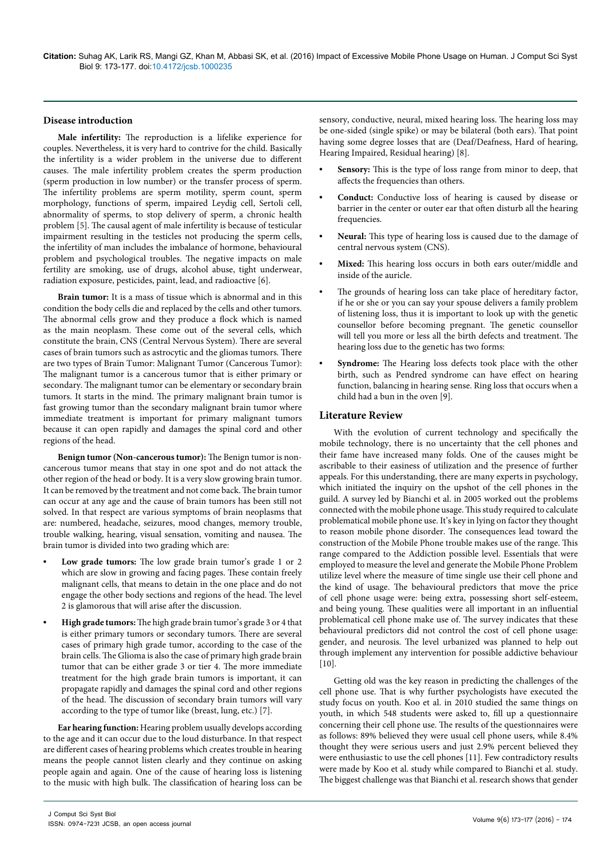#### **Disease introduction**

**Male infertility:** The reproduction is a lifelike experience for couples. Nevertheless, it is very hard to contrive for the child. Basically the infertility is a wider problem in the universe due to different causes. The male infertility problem creates the sperm production (sperm production in low number) or the transfer process of sperm. The infertility problems are sperm motility, sperm count, sperm morphology, functions of sperm, impaired Leydig cell, Sertoli cell, abnormality of sperms, to stop delivery of sperm, a chronic health problem [5]. The causal agent of male infertility is because of testicular impairment resulting in the testicles not producing the sperm cells, the infertility of man includes the imbalance of hormone, behavioural problem and psychological troubles. The negative impacts on male fertility are smoking, use of drugs, alcohol abuse, tight underwear, radiation exposure, pesticides, paint, lead, and radioactive [6].

**Brain tumor:** It is a mass of tissue which is abnormal and in this condition the body cells die and replaced by the cells and other tumors. The abnormal cells grow and they produce a flock which is named as the main neoplasm. These come out of the several cells, which constitute the brain, CNS (Central Nervous System). There are several cases of brain tumors such as astrocytic and the gliomas tumors. There are two types of Brain Tumor: Malignant Tumor (Cancerous Tumor): The malignant tumor is a cancerous tumor that is either primary or secondary. The malignant tumor can be elementary or secondary brain tumors. It starts in the mind. The primary malignant brain tumor is fast growing tumor than the secondary malignant brain tumor where immediate treatment is important for primary malignant tumors because it can open rapidly and damages the spinal cord and other regions of the head.

**Benign tumor (Non-cancerous tumor):** The Benign tumor is noncancerous tumor means that stay in one spot and do not attack the other region of the head or body. It is a very slow growing brain tumor. It can be removed by the treatment and not come back. The brain tumor can occur at any age and the cause of brain tumors has been still not solved. In that respect are various symptoms of brain neoplasms that are: numbered, headache, seizures, mood changes, memory trouble, trouble walking, hearing, visual sensation, vomiting and nausea. The brain tumor is divided into two grading which are:

- **• Low grade tumors:** The low grade brain tumor's grade 1 or 2 which are slow in growing and facing pages. These contain freely malignant cells, that means to detain in the one place and do not engage the other body sections and regions of the head. The level 2 is glamorous that will arise after the discussion.
- **• High grade tumors:** The high grade brain tumor's grade 3 or 4 that is either primary tumors or secondary tumors. There are several cases of primary high grade tumor, according to the case of the brain cells. The Glioma is also the case of primary high grade brain tumor that can be either grade 3 or tier 4. The more immediate treatment for the high grade brain tumors is important, it can propagate rapidly and damages the spinal cord and other regions of the head. The discussion of secondary brain tumors will vary according to the type of tumor like (breast, lung, etc.) [7].

**Ear hearing function:** Hearing problem usually develops according to the age and it can occur due to the loud disturbance. In that respect are different cases of hearing problems which creates trouble in hearing means the people cannot listen clearly and they continue on asking people again and again. One of the cause of hearing loss is listening to the music with high bulk. The classification of hearing loss can be

sensory, conductive, neural, mixed hearing loss. The hearing loss may be one-sided (single spike) or may be bilateral (both ears). That point having some degree losses that are (Deaf/Deafness, Hard of hearing, Hearing Impaired, Residual hearing) [8].

- **• Sensory:** This is the type of loss range from minor to deep, that affects the frequencies than others.
- **• Conduct:** Conductive loss of hearing is caused by disease or barrier in the center or outer ear that often disturb all the hearing frequencies.
- **• Neural:** This type of hearing loss is caused due to the damage of central nervous system (CNS).
- **• Mixed:** This hearing loss occurs in both ears outer/middle and inside of the auricle.
- The grounds of hearing loss can take place of hereditary factor, if he or she or you can say your spouse delivers a family problem of listening loss, thus it is important to look up with the genetic counsellor before becoming pregnant. The genetic counsellor will tell you more or less all the birth defects and treatment. The hearing loss due to the genetic has two forms:
- **• Syndrome:** The Hearing loss defects took place with the other birth, such as Pendred syndrome can have effect on hearing function, balancing in hearing sense. Ring loss that occurs when a child had a bun in the oven [9].

## **Literature Review**

With the evolution of current technology and specifically the mobile technology, there is no uncertainty that the cell phones and their fame have increased many folds. One of the causes might be ascribable to their easiness of utilization and the presence of further appeals. For this understanding, there are many experts in psychology, which initiated the inquiry on the upshot of the cell phones in the guild. A survey led by Bianchi et al. in 2005 worked out the problems connected with the mobile phone usage. This study required to calculate problematical mobile phone use. It's key in lying on factor they thought to reason mobile phone disorder. The consequences lead toward the construction of the Mobile Phone trouble makes use of the range. This range compared to the Addiction possible level. Essentials that were employed to measure the level and generate the Mobile Phone Problem utilize level where the measure of time single use their cell phone and the kind of usage. The behavioural predictors that move the price of cell phone usage were: being extra, possessing short self-esteem, and being young. These qualities were all important in an influential problematical cell phone make use of. The survey indicates that these behavioural predictors did not control the cost of cell phone usage: gender, and neurosis. The level urbanized was planned to help out through implement any intervention for possible addictive behaviour [10].

Getting old was the key reason in predicting the challenges of the cell phone use. That is why further psychologists have executed the study focus on youth. Koo et al. in 2010 studied the same things on youth, in which 548 students were asked to, fill up a questionnaire concerning their cell phone use. The results of the questionnaires were as follows: 89% believed they were usual cell phone users, while 8.4% thought they were serious users and just 2.9% percent believed they were enthusiastic to use the cell phones [11]. Few contradictory results were made by Koo et al. study while compared to Bianchi et al. study. The biggest challenge was that Bianchi et al. research shows that gender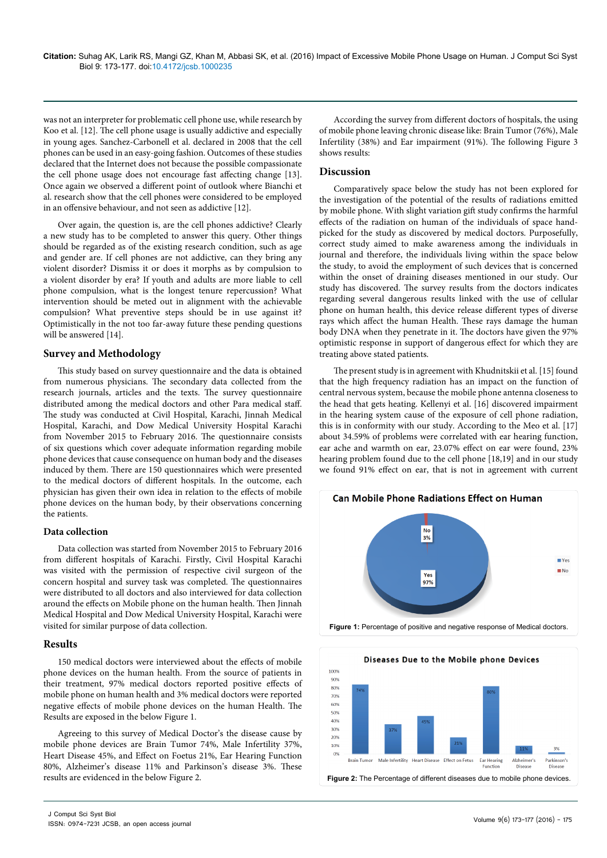was not an interpreter for problematic cell phone use, while research by Koo et al. [12]. The cell phone usage is usually addictive and especially in young ages. Sanchez-Carbonell et al. declared in 2008 that the cell phones can be used in an easy-going fashion. Outcomes of these studies declared that the Internet does not because the possible compassionate the cell phone usage does not encourage fast affecting change [13]. Once again we observed a different point of outlook where Bianchi et al. research show that the cell phones were considered to be employed in an offensive behaviour, and not seen as addictive [12].

Over again, the question is, are the cell phones addictive? Clearly a new study has to be completed to answer this query. Other things should be regarded as of the existing research condition, such as age and gender are. If cell phones are not addictive, can they bring any violent disorder? Dismiss it or does it morphs as by compulsion to a violent disorder by era? If youth and adults are more liable to cell phone compulsion, what is the longest tenure repercussion? What intervention should be meted out in alignment with the achievable compulsion? What preventive steps should be in use against it? Optimistically in the not too far-away future these pending questions will be answered [14].

## **Survey and Methodology**

This study based on survey questionnaire and the data is obtained from numerous physicians. The secondary data collected from the research journals, articles and the texts. The survey questionnaire distributed among the medical doctors and other Para medical staff. The study was conducted at Civil Hospital, Karachi, Jinnah Medical Hospital, Karachi, and Dow Medical University Hospital Karachi from November 2015 to February 2016. The questionnaire consists of six questions which cover adequate information regarding mobile phone devices that cause consequence on human body and the diseases induced by them. There are 150 questionnaires which were presented to the medical doctors of different hospitals. In the outcome, each physician has given their own idea in relation to the effects of mobile phone devices on the human body, by their observations concerning the patients.

## **Data collection**

Data collection was started from November 2015 to February 2016 from different hospitals of Karachi. Firstly, Civil Hospital Karachi was visited with the permission of respective civil surgeon of the concern hospital and survey task was completed. The questionnaires were distributed to all doctors and also interviewed for data collection around the effects on Mobile phone on the human health. Then Jinnah Medical Hospital and Dow Medical University Hospital, Karachi were visited for similar purpose of data collection.

## **Results**

150 medical doctors were interviewed about the effects of mobile phone devices on the human health. From the source of patients in their treatment, 97% medical doctors reported positive effects of mobile phone on human health and 3% medical doctors were reported negative effects of mobile phone devices on the human Health. The Results are exposed in the below Figure 1.

Agreeing to this survey of Medical Doctor's the disease cause by mobile phone devices are Brain Tumor 74%, Male Infertility 37%, Heart Disease 45%, and Effect on Foetus 21%, Ear Hearing Function 80%, Alzheimer's disease 11% and Parkinson's disease 3%. These results are evidenced in the below Figure 2.

According the survey from different doctors of hospitals, the using of mobile phone leaving chronic disease like: Brain Tumor (76%), Male Infertility (38%) and Ear impairment (91%). The following Figure 3 shows results:

## **Discussion**

Comparatively space below the study has not been explored for the investigation of the potential of the results of radiations emitted by mobile phone. With slight variation gift study confirms the harmful effects of the radiation on human of the individuals of space handpicked for the study as discovered by medical doctors. Purposefully, correct study aimed to make awareness among the individuals in journal and therefore, the individuals living within the space below the study, to avoid the employment of such devices that is concerned within the onset of draining diseases mentioned in our study. Our study has discovered. The survey results from the doctors indicates regarding several dangerous results linked with the use of cellular phone on human health, this device release different types of diverse rays which affect the human Health. These rays damage the human body DNA when they penetrate in it. The doctors have given the 97% optimistic response in support of dangerous effect for which they are treating above stated patients.

The present study is in agreement with Khudnitskii et al. [15] found that the high frequency radiation has an impact on the function of central nervous system, because the mobile phone antenna closeness to the head that gets heating. Kellenyi et al. [16] discovered impairment in the hearing system cause of the exposure of cell phone radiation, this is in conformity with our study. According to the Meo et al. [17] about 34.59% of problems were correlated with ear hearing function, ear ache and warmth on ear, 23.07% effect on ear were found, 23% hearing problem found due to the cell phone [18,19] and in our study we found 91% effect on ear, that is not in agreement with current



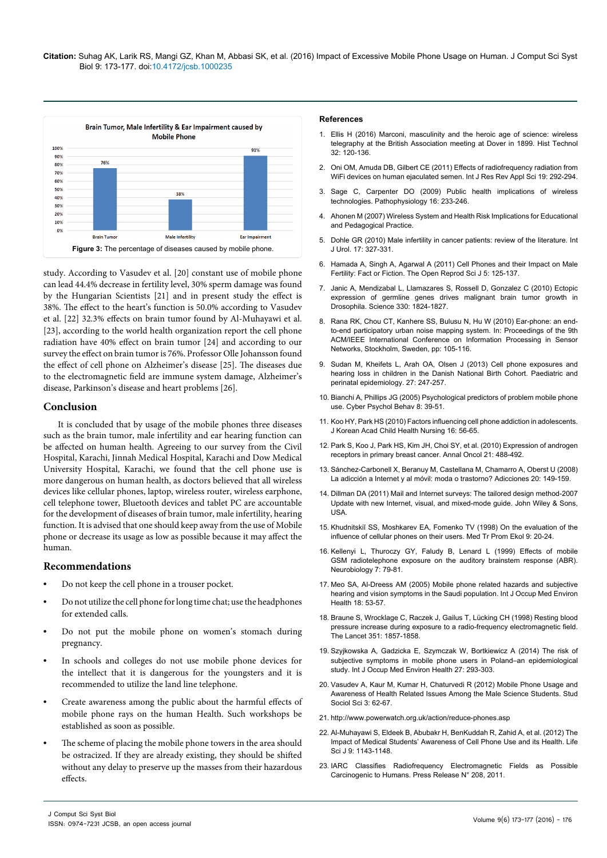

study. According to Vasudev et al. [20] constant use of mobile phone can lead 44.4% decrease in fertility level, 30% sperm damage was found by the Hungarian Scientists [21] and in present study the effect is 38%. The effect to the heart's function is 50.0% according to Vasudev et al. [22] 32.3% effects on brain tumor found by Al-Muhayawi et al. [23], according to the world health organization report the cell phone radiation have 40% effect on brain tumor [24] and according to our survey the effect on brain tumor is 76%. Professor Olle Johansson found the effect of cell phone on Alzheimer's disease [25]. The diseases due to the electromagnetic field are immune system damage, Alzheimer's disease, Parkinson's disease and heart problems [26].

## **Conclusion**

It is concluded that by usage of the mobile phones three diseases such as the brain tumor, male infertility and ear hearing function can be affected on human health. Agreeing to our survey from the Civil Hospital, Karachi, Jinnah Medical Hospital, Karachi and Dow Medical University Hospital, Karachi, we found that the cell phone use is more dangerous on human health, as doctors believed that all wireless devices like cellular phones, laptop, wireless router, wireless earphone, cell telephone tower, Bluetooth devices and tablet PC are accountable for the development of diseases of brain tumor, male infertility, hearing function. It is advised that one should keep away from the use of Mobile phone or decrease its usage as low as possible because it may affect the human.

## **Recommendations**

- **•** Do not keep the cell phone in a trouser pocket.
- **•** Do not utilize the cell phone for long time chat; use the headphones for extended calls.
- **•** Do not put the mobile phone on women's stomach during pregnancy.
- **•** In schools and colleges do not use mobile phone devices for the intellect that it is dangerous for the youngsters and it is recommended to utilize the land line telephone.
- **•** Create awareness among the public about the harmful effects of mobile phone rays on the human Health. Such workshops be established as soon as possible.
- **•** The scheme of placing the mobile phone towers in the area should be ostracized. If they are already existing, they should be shifted without any delay to preserve up the masses from their hazardous effects.

#### **References**

- 1. [Ellis H \(2016\) Marconi, masculinity and the heroic age of science: wireless](http://www.tandfonline.com/doi/abs/10.1080/07341512.2016.1218955)  [telegraphy at the British Association meeting at Dover in 1899. Hist Technol](http://www.tandfonline.com/doi/abs/10.1080/07341512.2016.1218955)  [32: 120-136.](http://www.tandfonline.com/doi/abs/10.1080/07341512.2016.1218955)
- 2. [Oni OM, Amuda DB, Gilbert CE \(2011\) Effects of radiofrequency radiation from](https://doaj.org/article/5393bb3e1ec6401abd09cc0ef3a1dec6)  [WiFi devices on human ejaculated semen. Int J Res Rev Appl Sci 19: 292-294.](https://doaj.org/article/5393bb3e1ec6401abd09cc0ef3a1dec6)
- 3. [Sage C, Carpenter DO \(2009\) Public health implications of wireless](http://www.pathophysiologyjournal.com/article/S0928-4680(09)00017-0/abstract)  [technologies. Pathophysiology 16: 233-246.](http://www.pathophysiologyjournal.com/article/S0928-4680(09)00017-0/abstract)
- 4. [Ahonen M \(2007\) Wireless System and Health Risk Implications for Educational](http://beyondradiation.blogs.com/mblog/files/ahonen_abstract_online_educa_berlin.pdf)  [and Pedagogical Practice.](http://beyondradiation.blogs.com/mblog/files/ahonen_abstract_online_educa_berlin.pdf)
- 5. [Dohle GR \(2010\) Male infertility in cancer patients: review of the literature. Int](http://onlinelibrary.wiley.com/doi/10.1111/j.1442-2042.2010.02484.x/abstract;jsessionid=5784B4149A83586F9F0987DC5D79C591.f04t02)  [J Urol. 17: 327-331.](http://onlinelibrary.wiley.com/doi/10.1111/j.1442-2042.2010.02484.x/abstract;jsessionid=5784B4149A83586F9F0987DC5D79C591.f04t02)
- 6. [Hamada A, Singh A, Agarwal A \(2011\) Cell Phones and their Impact on Male](http://benthamopen.com/contents/pdf/TORSJ/TORSJ-3-125.pdf)  [Fertility: Fact or Fiction. The Open Reprod Sci J 5: 125-137.](http://benthamopen.com/contents/pdf/TORSJ/TORSJ-3-125.pdf)
- 7. [Janic A, Mendizabal L, Llamazares S, Rossell D, Gonzalez C \(2010\) Ectopic](http://science.sciencemag.org/content/330/6012/1824)  [expression of germline genes drives malignant brain tumor growth in](http://science.sciencemag.org/content/330/6012/1824)  [Drosophila. Science 330: 1824-1827.](http://science.sciencemag.org/content/330/6012/1824)
- 8. [Rana RK, Chou CT, Kanhere SS, Bulusu N, Hu W \(2010\) Ear-phone: an end](http://web.cecs.pdx.edu/~nbulusu/papers/spots10.pdf)[to-end participatory urban noise mapping system. In: Proceedings of the 9th](http://web.cecs.pdx.edu/~nbulusu/papers/spots10.pdf) [ACM/IEEE International Conference on Information Processing in Sensor](http://web.cecs.pdx.edu/~nbulusu/papers/spots10.pdf)  [Networks, Stockholm, Sweden, pp: 105-116.](http://web.cecs.pdx.edu/~nbulusu/papers/spots10.pdf)
- 9. [Sudan M, Kheifets L, Arah OA, Olsen J \(2013\) Cell phone exposures and](http://onlinelibrary.wiley.com/doi/10.1111/ppe.12036/abstract)  [hearing loss in children in the Danish National Birth Cohort. Paediatric and](http://onlinelibrary.wiley.com/doi/10.1111/ppe.12036/abstract)  [perinatal epidemiology. 27: 247-257.](http://onlinelibrary.wiley.com/doi/10.1111/ppe.12036/abstract)
- 10. [Bianchi A, Phillips JG \(2005\) Psychological predictors of problem mobile phone](http://online.liebertpub.com/doi/abs/10.1089/cpb.2005.8.39)  [use. Cyber Psychol Behav 8: 39-51.](http://online.liebertpub.com/doi/abs/10.1089/cpb.2005.8.39)
- 11. [Koo HY, Park HS \(2010\) Factors influencing cell phone addiction in adolescents.](http://e-chnr.org/journal/view.php?number=1173)  [J Korean Acad Child Health Nursing 16: 56-65.](http://e-chnr.org/journal/view.php?number=1173)
- 12. [Park S, Koo J, Park HS, Kim JH, Choi SY, et al. \(2010\) Expression of androgen](http://annonc.oxfordjournals.org/content/21/3/488.full)  [receptors in primary breast cancer. Annal Oncol 21: 488-492.](http://annonc.oxfordjournals.org/content/21/3/488.full)
- 13. Sánchez-Carbonell X, Beranuy M, Castellana M, Chamarro A, Oberst U (2008) La adicción a Internet y al móvil: moda o trastorno? Adicciones 20: 149-159.
- 14. [Dillman DA \(2011\) Mail and Internet surveys: The tailored design method-2007](http://webcache.googleusercontent.com/search?q=cache:dJ8zvtI4vNEJ:www.wiley.com/WileyCDA/WileyTitle/productCd-1118456149.html+&cd=6&hl=en&ct=clnk&gl=in)  [Update with new Internet, visual, and mixed-mode guide. John Wiley & Sons,](http://webcache.googleusercontent.com/search?q=cache:dJ8zvtI4vNEJ:www.wiley.com/WileyCDA/WileyTitle/productCd-1118456149.html+&cd=6&hl=en&ct=clnk&gl=in)  [USA.](http://webcache.googleusercontent.com/search?q=cache:dJ8zvtI4vNEJ:www.wiley.com/WileyCDA/WileyTitle/productCd-1118456149.html+&cd=6&hl=en&ct=clnk&gl=in)
- 15. [Khudnitskiĭ SS, Moshkarev EA, Fomenko TV \(1998\) On the evaluation of the](http://locatorplus.gov/cgi-bin/Pwebrecon.cgi?DB=local&v1=1&ti=1,1&Search_Arg=9434213&Search_Code=0359&CNT=20&SID=1)  [influence of cellular phones on their users. Med Tr Prom Ekol 9: 20-24.](http://locatorplus.gov/cgi-bin/Pwebrecon.cgi?DB=local&v1=1&ti=1,1&Search_Arg=9434213&Search_Code=0359&CNT=20&SID=1)
- 16. [Kellenyi L, Thuroczy GY, Faludy B, Lenard L \(1999\) Effects of mobile](https://hungary.pure.elsevier.com/en/publications/effects-of-mobile-gsm-radiotelephone-exposure-on-the-auditory-bra)  [GSM radiotelephone exposure on the auditory brainstem response \(ABR\).](https://hungary.pure.elsevier.com/en/publications/effects-of-mobile-gsm-radiotelephone-exposure-on-the-auditory-bra)  [Neurobiology 7: 79-81.](https://hungary.pure.elsevier.com/en/publications/effects-of-mobile-gsm-radiotelephone-exposure-on-the-auditory-bra)
- 17. [Meo SA, Al-Dreess AM \(2005\) Mobile phone related hazards and subjective](https://www.google.co.in/url?sa=t&rct=j&q=&esrc=s&source=web&cd=2&ved=0ahUKEwjS_JifyuHPAhUKqo8KHVZsCl8QFggmMAE&url=http%3A%2F%2Ffaculty.ksu.edu.sa%2F70939%2FDocuments%2F22%2520Mobile%2520phone.pdf&usg=AFQjCNFoqMyOE0hsBTUIUun5nuhlRP7lQg&cad=rja)  [hearing and vision symptoms in the Saudi population. Int J Occup Med Environ](https://www.google.co.in/url?sa=t&rct=j&q=&esrc=s&source=web&cd=2&ved=0ahUKEwjS_JifyuHPAhUKqo8KHVZsCl8QFggmMAE&url=http%3A%2F%2Ffaculty.ksu.edu.sa%2F70939%2FDocuments%2F22%2520Mobile%2520phone.pdf&usg=AFQjCNFoqMyOE0hsBTUIUun5nuhlRP7lQg&cad=rja)  [Health 18: 53-57.](https://www.google.co.in/url?sa=t&rct=j&q=&esrc=s&source=web&cd=2&ved=0ahUKEwjS_JifyuHPAhUKqo8KHVZsCl8QFggmMAE&url=http%3A%2F%2Ffaculty.ksu.edu.sa%2F70939%2FDocuments%2F22%2520Mobile%2520phone.pdf&usg=AFQjCNFoqMyOE0hsBTUIUun5nuhlRP7lQg&cad=rja)
- 18. [Braune S, Wrocklage C, Raczek J, Gailus T, Lücking CH \(1998\) Resting blood](http://www.thelancet.com/journals/lancet/article/PIIS0140-6736(98)24025-6/abstract)  [pressure increase during exposure to a radio-frequency electromagnetic field.](http://www.thelancet.com/journals/lancet/article/PIIS0140-6736(98)24025-6/abstract)  [The Lancet 351: 1857-1858.](http://www.thelancet.com/journals/lancet/article/PIIS0140-6736(98)24025-6/abstract)
- 19. [Szyjkowska A, Gadzicka E, Szymczak W, Bortkiewicz A \(2014\) The risk of](http://link.springer.com/article/10.2478/s13382-014-0260-1)  [subjective symptoms in mobile phone users in Poland–an epidemiological](http://link.springer.com/article/10.2478/s13382-014-0260-1)  [study. Int J Occup Med Environ Health 27: 293-303.](http://link.springer.com/article/10.2478/s13382-014-0260-1)
- 20. Vasudev A, Kaur M, Kumar H, Chaturvedi R (2012) Mobile Phone Usage and [Awareness of Health Related Issues Among the Male Science Students. Stud](http://www.cscanada.net/index.php/sss/article/view/j.sss.1923018420120303.1997)  [Sociol Sci 3: 62-67.](http://www.cscanada.net/index.php/sss/article/view/j.sss.1923018420120303.1997)
- 21. <http://www.powerwatch.org.uk/action/reduce-phones.asp>
- 22. [Al-Muhayawi S, Eldeek B, Abubakr H, BenKuddah R, Zahid A, et al. \(2012\) The](http://www.lifesciencesite.com/lsj/life0902/170_9630life0902_1143_1148.pdf)  [Impact of Medical Students' Awareness of Cell Phone Use and its Health. Life](http://www.lifesciencesite.com/lsj/life0902/170_9630life0902_1143_1148.pdf)  [Sci J 9: 1143-1148.](http://www.lifesciencesite.com/lsj/life0902/170_9630life0902_1143_1148.pdf)
- 23. [IARC Classifies Radiofrequency Electromagnetic Fields as Possible](http://electromagnetichealth.org/electromagnetic-health-blog/iarc-rf-carc/)  [Carcinogenic to Humans. Press Release N° 208, 2011.](http://electromagnetichealth.org/electromagnetic-health-blog/iarc-rf-carc/)